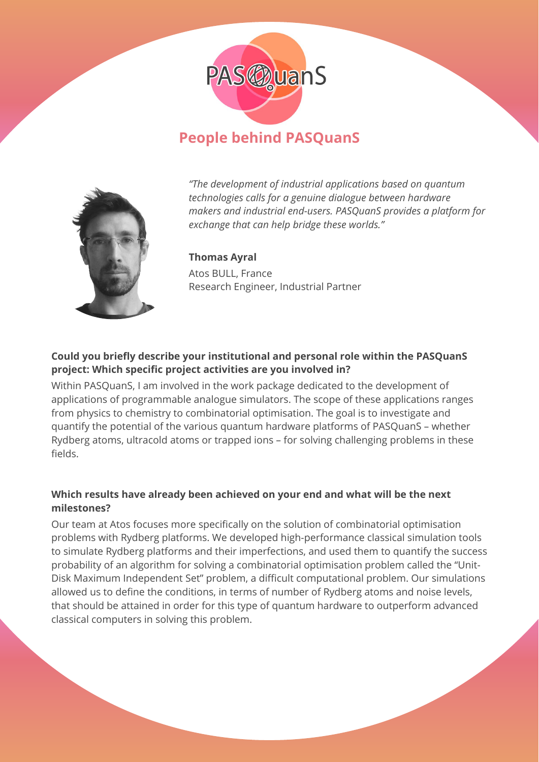

# **People behind PASQuanS**



*"The development of industrial applications based on quantum technologies calls for a genuine dialogue between hardware makers and industrial end-users. PASQuanS provides a platform for exchange that can help bridge these worlds."*

**Thomas Ayral**  Atos BULL, France Research Engineer, Industrial Partner

# **Could you briefly describe your institutional and personal role within the PASQuanS project: Which specific project activities are you involved in?**

Within PASQuanS, I am involved in the work package dedicated to the development of applications of programmable analogue simulators. The scope of these applications ranges from physics to chemistry to combinatorial optimisation. The goal is to investigate and quantify the potential of the various quantum hardware platforms of PASQuanS – whether Rydberg atoms, ultracold atoms or trapped ions – for solving challenging problems in these fields.

# **Which results have already been achieved on your end and what will be the next milestones?**

Our team at Atos focuses more specifically on the solution of combinatorial optimisation problems with Rydberg platforms. We developed high-performance classical simulation tools to simulate Rydberg platforms and their imperfections, and used them to quantify the success probability of an algorithm for solving a combinatorial optimisation problem called the "Unit-Disk Maximum Independent Set" problem, a difficult computational problem. Our simulations allowed us to define the conditions, in terms of number of Rydberg atoms and noise levels, that should be attained in order for this type of quantum hardware to outperform advanced classical computers in solving this problem.